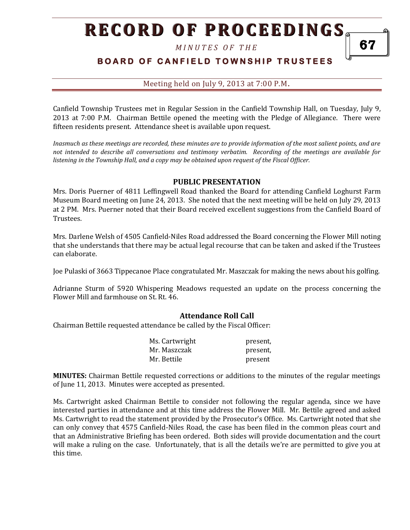*M I N U T E S O F T H E* 

# **B O A R D O F C A N F I E L D T O W N S H I P T R U S T E E S**

#### Meeting held on July 9, 2013 at 7:00 P.M**.**

Canfield Township Trustees met in Regular Session in the Canfield Township Hall, on Tuesday, July 9, 2013 at 7:00 P.M. Chairman Bettile opened the meeting with the Pledge of Allegiance. There were fifteen residents present. Attendance sheet is available upon request.

*Inasmuch as these meetings are recorded, these minutes are to provide information of the most salient points, and are not intended to describe all conversations and testimony verbatim. Recording of the meetings are available for listening in the Township Hall, and a copy may be obtained upon request of the Fiscal Officer.* 

#### **PUBLIC PRESENTATION**

Mrs. Doris Puerner of 4811 Leffingwell Road thanked the Board for attending Canfield Loghurst Farm Museum Board meeting on June 24, 2013. She noted that the next meeting will be held on July 29, 2013 at 2 PM. Mrs. Puerner noted that their Board received excellent suggestions from the Canfield Board of Trustees.

Mrs. Darlene Welsh of 4505 Canfield-Niles Road addressed the Board concerning the Flower Mill noting that she understands that there may be actual legal recourse that can be taken and asked if the Trustees can elaborate.

Joe Pulaski of 3663 Tippecanoe Place congratulated Mr. Maszczak for making the news about his golfing.

Adrianne Sturm of 5920 Whispering Meadows requested an update on the process concerning the Flower Mill and farmhouse on St. Rt. 46.

#### **Attendance Roll Call**

Chairman Bettile requested attendance be called by the Fiscal Officer:

| Ms. Cartwright | present, |
|----------------|----------|
| Mr. Maszczak   | present. |
| Mr. Bettile    | present  |

**MINUTES:** Chairman Bettile requested corrections or additions to the minutes of the regular meetings of June 11, 2013. Minutes were accepted as presented.

Ms. Cartwright asked Chairman Bettile to consider not following the regular agenda, since we have interested parties in attendance and at this time address the Flower Mill. Mr. Bettile agreed and asked Ms. Cartwright to read the statement provided by the Prosecutor's Office. Ms. Cartwright noted that she can only convey that 4575 Canfield-Niles Road, the case has been filed in the common pleas court and that an Administrative Briefing has been ordered. Both sides will provide documentation and the court will make a ruling on the case. Unfortunately, that is all the details we're are permitted to give you at this time.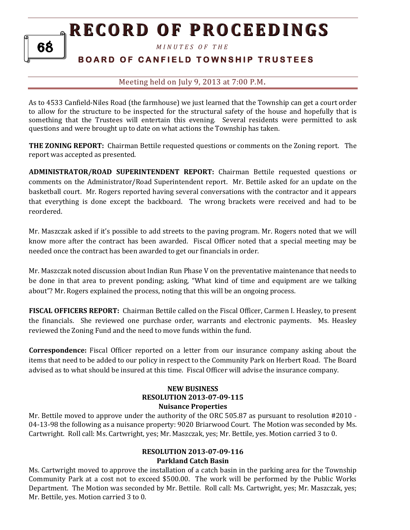*M I N U T E S O F T H E* 

# **BOARD OF CANFIELD TOWNSHIP TRUSTEES**

## Meeting held on July 9, 2013 at 7:00 P.M**.**

As to 4533 Canfield-Niles Road (the farmhouse) we just learned that the Township can get a court order to allow for the structure to be inspected for the structural safety of the house and hopefully that is something that the Trustees will entertain this evening. Several residents were permitted to ask questions and were brought up to date on what actions the Township has taken.

**THE ZONING REPORT:** Chairman Bettile requested questions or comments on the Zoning report. The report was accepted as presented.

**ADMINISTRATOR/ROAD SUPERINTENDENT REPORT:** Chairman Bettile requested questions or comments on the Administrator/Road Superintendent report. Mr. Bettile asked for an update on the basketball court. Mr. Rogers reported having several conversations with the contractor and it appears that everything is done except the backboard. The wrong brackets were received and had to be reordered.

Mr. Maszczak asked if it's possible to add streets to the paving program. Mr. Rogers noted that we will know more after the contract has been awarded. Fiscal Officer noted that a special meeting may be needed once the contract has been awarded to get our financials in order.

Mr. Maszczak noted discussion about Indian Run Phase V on the preventative maintenance that needs to be done in that area to prevent ponding; asking, "What kind of time and equipment are we talking about"? Mr. Rogers explained the process, noting that this will be an ongoing process.

**FISCAL OFFICERS REPORT:** Chairman Bettile called on the Fiscal Officer, Carmen I. Heasley, to present the financials. She reviewed one purchase order, warrants and electronic payments. Ms. Heasley reviewed the Zoning Fund and the need to move funds within the fund.

**Correspondence:** Fiscal Officer reported on a letter from our insurance company asking about the items that need to be added to our policy in respect to the Community Park on Herbert Road. The Board advised as to what should be insured at this time. Fiscal Officer will advise the insurance company.

#### **NEW BUSINESS RESOLUTION 2013-07-09-115 Nuisance Properties**

Mr. Bettile moved to approve under the authority of the ORC 505.87 as pursuant to resolution #2010 - 04-13-98 the following as a nuisance property: 9020 Briarwood Court. The Motion was seconded by Ms. Cartwright. Roll call: Ms. Cartwright, yes; Mr. Maszczak, yes; Mr. Bettile, yes. Motion carried 3 to 0.

#### **RESOLUTION 2013-07-09-116 Parkland Catch Basin**

Ms. Cartwright moved to approve the installation of a catch basin in the parking area for the Township Community Park at a cost not to exceed \$500.00. The work will be performed by the Public Works Department. The Motion was seconded by Mr. Bettile. Roll call: Ms. Cartwright, yes; Mr. Maszczak, yes; Mr. Bettile, yes. Motion carried 3 to 0.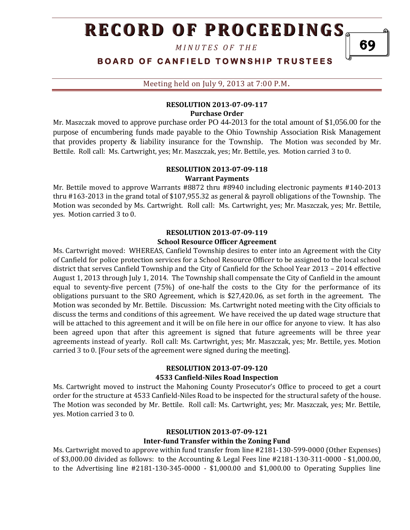*M I N U T E S O F T H E* 

**BOARD OF CANFIELD TOWNSHIP TRUSTEES** 

Meeting held on July 9, 2013 at 7:00 P.M**.**

#### **RESOLUTION 2013-07-09-117 Purchase Order**

Mr. Maszczak moved to approve purchase order PO 44-2013 for the total amount of \$1,056.00 for the purpose of encumbering funds made payable to the Ohio Township Association Risk Management that provides property & liability insurance for the Township. The Motion was seconded by Mr. Bettile. Roll call: Ms. Cartwright, yes; Mr. Maszczak, yes; Mr. Bettile, yes. Motion carried 3 to 0.

## **RESOLUTION 2013-07-09-118**

#### **Warrant Payments**

Mr. Bettile moved to approve Warrants #8872 thru #8940 including electronic payments #140-2013 thru #163-2013 in the grand total of \$107,955.32 as general & payroll obligations of the Township. The Motion was seconded by Ms. Cartwright. Roll call: Ms. Cartwright, yes; Mr. Maszczak, yes; Mr. Bettile, yes. Motion carried 3 to 0.

#### **RESOLUTION 2013-07-09-119 School Resource Officer Agreement**

Ms. Cartwright moved: WHEREAS, Canfield Township desires to enter into an Agreement with the City of Canfield for police protection services for a School Resource Officer to be assigned to the local school district that serves Canfield Township and the City of Canfield for the School Year 2013 – 2014 effective August 1, 2013 through July 1, 2014. The Township shall compensate the City of Canfield in the amount equal to seventy-five percent (75%) of one-half the costs to the City for the performance of its obligations pursuant to the SRO Agreement, which is \$27,420.06, as set forth in the agreement. The Motion was seconded by Mr. Bettile. Discussion: Ms. Cartwright noted meeting with the City officials to discuss the terms and conditions of this agreement. We have received the up dated wage structure that will be attached to this agreement and it will be on file here in our office for anyone to view. It has also been agreed upon that after this agreement is signed that future agreements will be three year agreements instead of yearly. Roll call: Ms. Cartwright, yes; Mr. Maszczak, yes; Mr. Bettile, yes. Motion carried 3 to 0. [Four sets of the agreement were signed during the meeting].

### **RESOLUTION 2013-07-09-120 4533 Canfield-Niles Road Inspection**

Ms. Cartwright moved to instruct the Mahoning County Prosecutor's Office to proceed to get a court order for the structure at 4533 Canfield-Niles Road to be inspected for the structural safety of the house. The Motion was seconded by Mr. Bettile. Roll call: Ms. Cartwright, yes; Mr. Maszczak, yes; Mr. Bettile, yes. Motion carried 3 to 0.

## **RESOLUTION 2013-07-09-121 Inter-fund Transfer within the Zoning Fund**

Ms. Cartwright moved to approve within fund transfer from line #2181-130-599-0000 (Other Expenses) of \$3,000.00 divided as follows: to the Accounting & Legal Fees line #2181-130-311-0000 - \$1,000.00, to the Advertising line #2181-130-345-0000 - \$1,000.00 and \$1,000.00 to Operating Supplies line